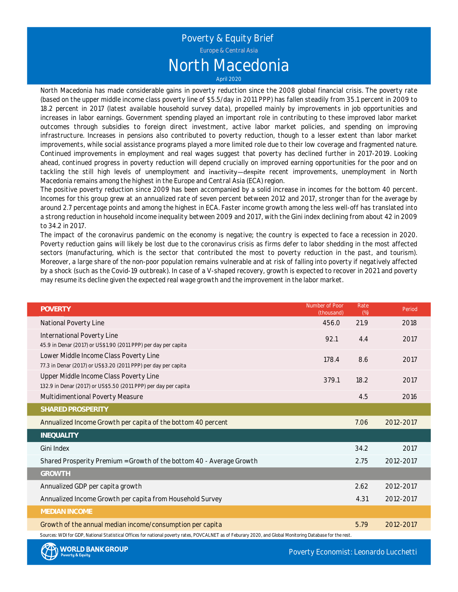# Poverty & Equity Brief North Macedonia

April 2020

North Macedonia has made considerable gains in poverty reduction since the 2008 global financial crisis. The poverty rate (based on the upper middle income class poverty line of \$5.5/day in 2011 PPP) has fallen steadily from 35.1 percent in 2009 to 18.2 percent in 2017 (latest available household survey data), propelled mainly by improvements in job opportunities and increases in labor earnings. Government spending played an important role in contributing to these improved labor market outcomes through subsidies to foreign direct investment, active labor market policies, and spending on improving infrastructure. Increases in pensions also contributed to poverty reduction, though to <sup>a</sup> lesser extent than labor market improvements, while social assistance programs played <sup>a</sup> more limited role due to their low coverage and fragmented nature. Continued improvements in employment and real wages suggest that poverty has declined further in 2017-2019. Looking ahead, continued progress in poverty reduction will depend crucially on improved earning opportunities for the poor and on tackling the still high levels of unemployment and inactivity-despite recent improvements, unemployment in North Macedonia remains among the highest in the Europe and Central Asia (ECA) region.

The positive poverty reduction since 2009 has been accompanied by <sup>a</sup> solid increase in incomes for the bottom 40 percent. Incomes for this group grew at an annualized rate of seven percent between 2012 and 2017, stronger than for the average by around 2.7 percentage points and among the highest in ECA. Faster income growth among the less well-off has translated into <sup>a</sup> strong reduction in household income inequality between 2009 and 2017, with the Gini index declining from about 42 in 2009 to 34.2 in 2017.

The impact of the coronavirus pandemic on the economy is negative; the country is expected to face <sup>a</sup> recession in 2020. Poverty reduction gains will likely be lost due to the coronavirus crisis as firms defer to labor shedding in the most affected sectors (manufacturing, which is the sector that contributed the most to poverty reduction in the past, and tourism). Moreover, <sup>a</sup> large share of the non-poor population remains vulnerable and at risk of falling into poverty if negatively affected by <sup>a</sup> shock (such as the Covid-19 outbreak). In case of <sup>a</sup> V-shaped recovery, growth is expected to recover in 2021 and poverty may resume its decline given the expected real wage growth and the improvement in the labor market.

| <b>POVERTY</b>                                                                                                                                                                                                          | Number of Poor<br>(thousand) | Rate<br>(%) | Period    |
|-------------------------------------------------------------------------------------------------------------------------------------------------------------------------------------------------------------------------|------------------------------|-------------|-----------|
| National Poverty Line                                                                                                                                                                                                   | 456.0                        | 21.9        | 2018      |
| International Poverty Line<br>45.9 in Denar (2017) or US\$1.90 (2011 PPP) per day per capita                                                                                                                            | 92.1                         | 4.4         | 2017      |
| Lower Middle Income Class Poverty Line<br>77.3 in Denar (2017) or US\$3.20 (2011 PPP) per day per capita                                                                                                                | 178.4                        | 8.6         | 2017      |
| Upper Middle Income Class Poverty Line<br>132.9 in Denar (2017) or US\$5.50 (2011 PPP) per day per capita                                                                                                               | 379.1                        | 18.2        | 2017      |
| Multidimentional Poverty Measure                                                                                                                                                                                        |                              | 4.5         | 2016      |
| SHARED PROSPERITY                                                                                                                                                                                                       |                              |             |           |
| Annualized Income Growth per capita of the bottom 40 percent                                                                                                                                                            |                              | 7.06        | 2012-2017 |
| <b>INEQUALITY</b>                                                                                                                                                                                                       |                              |             |           |
| Gini Index                                                                                                                                                                                                              |                              | 34.2        | 2017      |
| Shared Prosperity Premium = Growth of the bottom 40 - Average Growth                                                                                                                                                    |                              | 2.75        | 2012-2017 |
| <b>GROWTH</b>                                                                                                                                                                                                           |                              |             |           |
| Annualized GDP per capita growth                                                                                                                                                                                        |                              | 2.62        | 2012-2017 |
| Annualized Income Growth per capita from Household Survey                                                                                                                                                               |                              | 4.31        | 2012-2017 |
| MEDIAN INCOME                                                                                                                                                                                                           |                              |             |           |
| Growth of the annual median income/consumption per capita<br>Sources: WDI for GDP, National Statistical Offices for national poverty rates, POVCALNET as of Feburary 2020, and Global Monitoring Database for the rest. |                              | 5.79        | 2012-2017 |